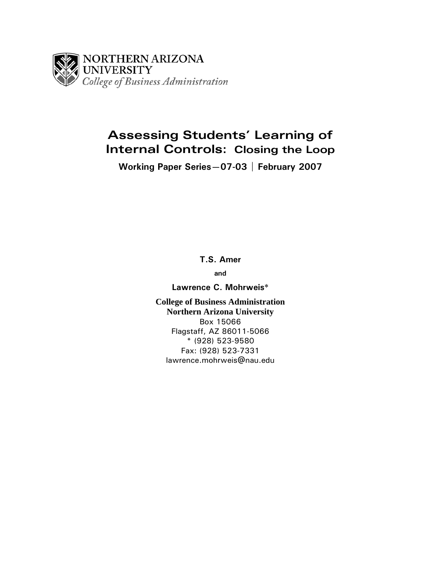

# **Assessing Students' Learning of Internal Controls: Closing the Loop**

**Working Paper Series—07-03 | February 2007** 

**T.S. Amer** 

**and** 

**Lawrence C. Mohrweis**\*

**College of Business Administration Northern Arizona University**  Box 15066 Flagstaff, AZ 86011-5066 \* (928) 523-9580 Fax: (928) 523-7331 lawrence.mohrweis@nau.edu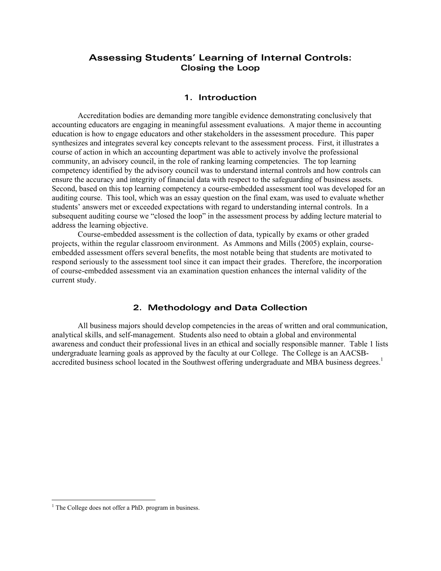# **Assessing Students' Learning of Internal Controls: Closing the Loop**

#### **1. Introduction**

 Accreditation bodies are demanding more tangible evidence demonstrating conclusively that accounting educators are engaging in meaningful assessment evaluations. A major theme in accounting education is how to engage educators and other stakeholders in the assessment procedure. This paper synthesizes and integrates several key concepts relevant to the assessment process. First, it illustrates a course of action in which an accounting department was able to actively involve the professional community, an advisory council, in the role of ranking learning competencies. The top learning competency identified by the advisory council was to understand internal controls and how controls can ensure the accuracy and integrity of financial data with respect to the safeguarding of business assets. Second, based on this top learning competency a course-embedded assessment tool was developed for an auditing course. This tool, which was an essay question on the final exam, was used to evaluate whether students' answers met or exceeded expectations with regard to understanding internal controls. In a subsequent auditing course we "closed the loop" in the assessment process by adding lecture material to address the learning objective.

Course-embedded assessment is the collection of data, typically by exams or other graded projects, within the regular classroom environment. As Ammons and Mills (2005) explain, courseembedded assessment offers several benefits, the most notable being that students are motivated to respond seriously to the assessment tool since it can impact their grades. Therefore, the incorporation of course-embedded assessment via an examination question enhances the internal validity of the current study.

## **2. Methodology and Data Collection**

All business majors should develop competencies in the areas of written and oral communication, analytical skills, and self-management. Students also need to obtain a global and environmental awareness and conduct their professional lives in an ethical and socially responsible manner. Table 1 lists undergraduate learning goals as approved by the faculty at our College. The College is an AACSBaccredited business school located in the Southwest offering undergraduate and MBA business degrees.<sup>1</sup>

 1 The College does not offer a PhD. program in business.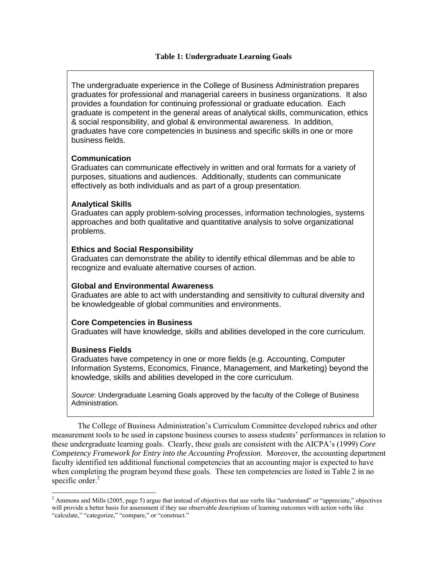## **Table 1: Undergraduate Learning Goals**

The undergraduate experience in the College of Business Administration prepares graduates for professional and managerial careers in business organizations. It also provides a foundation for continuing professional or graduate education. Each graduate is competent in the general areas of analytical skills, communication, ethics & social responsibility, and global & environmental awareness. In addition, graduates have core competencies in business and specific skills in one or more business fields.

## **Communication**

Graduates can communicate effectively in written and oral formats for a variety of purposes, situations and audiences. Additionally, students can communicate effectively as both individuals and as part of a group presentation.

## **Analytical Skills**

Graduates can apply problem-solving processes, information technologies, systems approaches and both qualitative and quantitative analysis to solve organizational problems.

#### **Ethics and Social Responsibility**

Graduates can demonstrate the ability to identify ethical dilemmas and be able to recognize and evaluate alternative courses of action.

#### **Global and Environmental Awareness**

Graduates are able to act with understanding and sensitivity to cultural diversity and be knowledgeable of global communities and environments.

#### **Core Competencies in Business**

Graduates will have knowledge, skills and abilities developed in the core curriculum.

## **Business Fields**

 $\overline{a}$ 

Graduates have competency in one or more fields (e.g. Accounting, Computer Information Systems, Economics, Finance, Management, and Marketing) beyond the knowledge, skills and abilities developed in the core curriculum.

*Source*: Undergraduate Learning Goals approved by the faculty of the College of Business Administration.

The College of Business Administration's Curriculum Committee developed rubrics and other measurement tools to be used in capstone business courses to assess students' performances in relation to these undergraduate learning goals. Clearly, these goals are consistent with the AICPA's (1999) *Core Competency Framework for Entry into the Accounting Profession*. Moreover, the accounting department faculty identified ten additional functional competencies that an accounting major is expected to have when completing the program beyond these goals. These ten competencies are listed in Table 2 in no specific order.<sup>2</sup>

<sup>&</sup>lt;sup>2</sup> Ammons and Mills (2005, page 5) argue that instead of objectives that use verbs like "understand" or "appreciate," objectives will provide a better basis for assessment if they use observable descriptions of learning outcomes with action verbs like "calculate," "categorize," "compare," or "construct."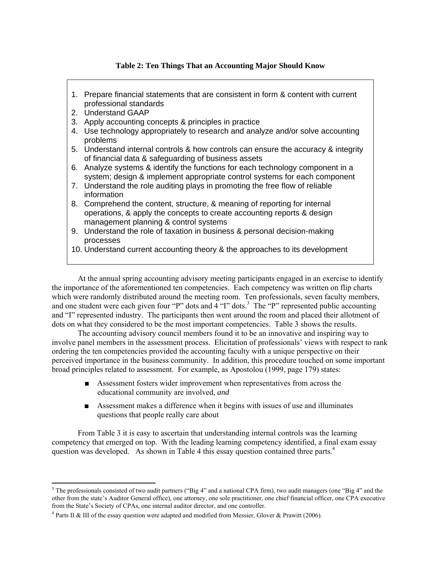## **Table 2: Ten Things That an Accounting Major Should Know**

- 1. Prepare financial statements that are consistent in form & content with current professional standards
- 2. Understand GAAP

 $\overline{a}$ 

- 3. Apply accounting concepts & principles in practice
- 4. Use technology appropriately to research and analyze and/or solve accounting problems
- 5. Understand internal controls & how controls can ensure the accuracy & integrity of financial data & safeguarding of business assets
- 6. Analyze systems & identify the functions for each technology component in a system; design & implement appropriate control systems for each component
- 7. Understand the role auditing plays in promoting the free flow of reliable information
- 8. Comprehend the content, structure, & meaning of reporting for internal operations, & apply the concepts to create accounting reports & design management planning & control systems
- 9. Understand the role of taxation in business & personal decision-making processes
- 10. Understand current accounting theory & the approaches to its development

At the annual spring accounting advisory meeting participants engaged in an exercise to identify the importance of the aforementioned ten competencies. Each competency was written on flip charts which were randomly distributed around the meeting room. Ten professionals, seven faculty members, and one student were each given four "P" dots and 4 "I" dots.<sup>3</sup> The "P" represented public accounting and "I" represented industry. The participants then went around the room and placed their allotment of dots on what they considered to be the most important competencies. Table 3 shows the results.

The accounting advisory council members found it to be an innovative and inspiring way to involve panel members in the assessment process. Elicitation of professionals' views with respect to rank ordering the ten competencies provided the accounting faculty with a unique perspective on their perceived importance in the business community. In addition, this procedure touched on some important broad principles related to assessment. For example, as Apostolou (1999, page 179) states:

- Assessment fosters wider improvement when representatives from across the educational community are involved, *and*
- Assessment makes a difference when it begins with issues of use and illuminates questions that people really care about

From Table 3 it is easy to ascertain that understanding internal controls was the learning competency that emerged on top. With the leading learning competency identified, a final exam essay question was developed. As shown in Table 4 this essay question contained three parts.<sup>4</sup>

<sup>&</sup>lt;sup>3</sup> The professionals consisted of two audit partners ("Big 4" and a national CPA firm), two audit managers (one "Big 4" and the other from the state's Auditor General office), one attorney, one sole practitioner, one chief financial officer, one CPA executive from the State's Society of CPAs, one internal auditor director, and one controller.

<sup>&</sup>lt;sup>4</sup> Parts II & III of the essay question were adapted and modified from Messier, Glover & Prawitt (2006).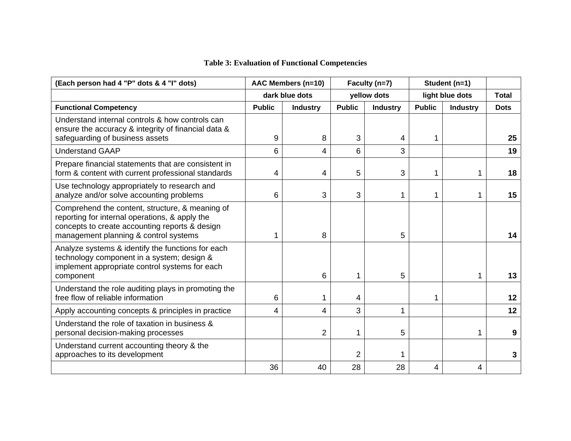# **Table 3: Evaluation of Functional Competencies**

| (Each person had 4 "P" dots & 4 "I" dots)                                                                                                                                                    | AAC Members (n=10) |                 | Faculty (n=7)  |                 | Student (n=1) |                 |              |
|----------------------------------------------------------------------------------------------------------------------------------------------------------------------------------------------|--------------------|-----------------|----------------|-----------------|---------------|-----------------|--------------|
|                                                                                                                                                                                              |                    | dark blue dots  |                | yellow dots     |               | light blue dots | <b>Total</b> |
| <b>Functional Competency</b>                                                                                                                                                                 | <b>Public</b>      | <b>Industry</b> | <b>Public</b>  | <b>Industry</b> | <b>Public</b> | <b>Industry</b> | <b>Dots</b>  |
| Understand internal controls & how controls can<br>ensure the accuracy & integrity of financial data &<br>safeguarding of business assets                                                    | 9                  | 8               | 3              | 4               | 1             |                 | 25           |
| <b>Understand GAAP</b>                                                                                                                                                                       | 6                  | 4               | 6              | 3               |               |                 | 19           |
| Prepare financial statements that are consistent in<br>form & content with current professional standards                                                                                    | 4                  | 4               | 5              | 3               | 1             | 1.              | 18           |
| Use technology appropriately to research and<br>analyze and/or solve accounting problems                                                                                                     | 6                  | 3               | 3              | 1               | 1             | 1.              | 15           |
| Comprehend the content, structure, & meaning of<br>reporting for internal operations, & apply the<br>concepts to create accounting reports & design<br>management planning & control systems |                    | 8               |                | 5               |               |                 | 14           |
| Analyze systems & identify the functions for each<br>technology component in a system; design &<br>implement appropriate control systems for each<br>component                               |                    | 6               | 1              | 5               |               | 1               | 13           |
| Understand the role auditing plays in promoting the<br>free flow of reliable information                                                                                                     | 6                  | 1               | 4              |                 | 1             |                 | 12           |
| Apply accounting concepts & principles in practice                                                                                                                                           | 4                  | 4               | 3              | 1               |               |                 | 12           |
| Understand the role of taxation in business &<br>personal decision-making processes                                                                                                          |                    | 2               | 1              | 5               |               | 1.              | 9            |
| Understand current accounting theory & the<br>approaches to its development                                                                                                                  |                    |                 | $\overline{2}$ | 1               |               |                 | 3            |
|                                                                                                                                                                                              | 36                 | 40              | 28             | 28              | 4             | 4               |              |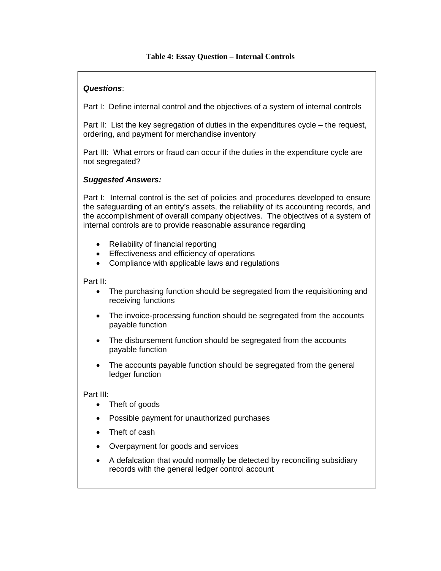## **Table 4: Essay Question – Internal Controls**

## *Questions*:

Part I: Define internal control and the objectives of a system of internal controls

Part II: List the key segregation of duties in the expenditures cycle – the request, ordering, and payment for merchandise inventory

Part III: What errors or fraud can occur if the duties in the expenditure cycle are not segregated?

## *Suggested Answers:*

Part I: Internal control is the set of policies and procedures developed to ensure the safeguarding of an entity's assets, the reliability of its accounting records, and the accomplishment of overall company objectives. The objectives of a system of internal controls are to provide reasonable assurance regarding

- Reliability of financial reporting
- Effectiveness and efficiency of operations
- Compliance with applicable laws and regulations

Part II:

- The purchasing function should be segregated from the requisitioning and receiving functions
- The invoice-processing function should be segregated from the accounts payable function
- The disbursement function should be segregated from the accounts payable function
- The accounts payable function should be segregated from the general ledger function

Part III:

- Theft of goods
- Possible payment for unauthorized purchases
- Theft of cash
- Overpayment for goods and services
- A defalcation that would normally be detected by reconciling subsidiary records with the general ledger control account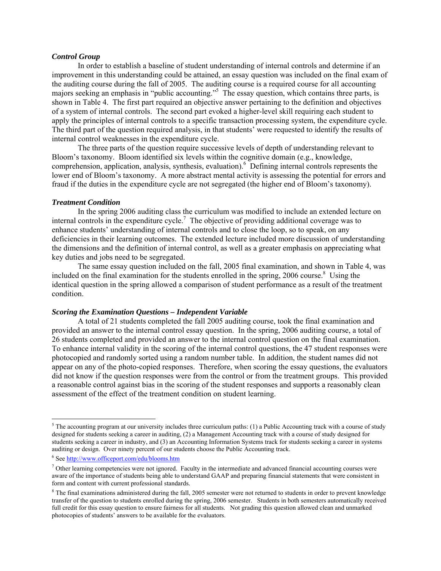#### *Control Group*

In order to establish a baseline of student understanding of internal controls and determine if an improvement in this understanding could be attained, an essay question was included on the final exam of the auditing course during the fall of 2005. The auditing course is a required course for all accounting majors seeking an emphasis in "public accounting."<sup>5</sup> The essay question, which contains three parts, is shown in Table 4. The first part required an objective answer pertaining to the definition and objectives of a system of internal controls. The second part evoked a higher-level skill requiring each student to apply the principles of internal controls to a specific transaction processing system, the expenditure cycle. The third part of the question required analysis, in that students' were requested to identify the results of internal control weaknesses in the expenditure cycle.

The three parts of the question require successive levels of depth of understanding relevant to Bloom's taxonomy. Bloom identified six levels within the cognitive domain (e.g., knowledge, comprehension, application, analysis, synthesis, evaluation). <sup>6</sup> Defining internal controls represents the lower end of Bloom's taxonomy. A more abstract mental activity is assessing the potential for errors and fraud if the duties in the expenditure cycle are not segregated (the higher end of Bloom's taxonomy).

#### *Treatment Condition*

In the spring 2006 auditing class the curriculum was modified to include an extended lecture on internal controls in the expenditure cycle.<sup>7</sup> The objective of providing additional coverage was to enhance students' understanding of internal controls and to close the loop, so to speak, on any deficiencies in their learning outcomes. The extended lecture included more discussion of understanding the dimensions and the definition of internal control, as well as a greater emphasis on appreciating what key duties and jobs need to be segregated.

The same essay question included on the fall, 2005 final examination, and shown in Table 4, was included on the final examination for the students enrolled in the spring,  $2006$  course.<sup>8</sup> Using the identical question in the spring allowed a comparison of student performance as a result of the treatment condition.

#### *Scoring the Examination Questions – Independent Variable*

A total of 21 students completed the fall 2005 auditing course, took the final examination and provided an answer to the internal control essay question. In the spring, 2006 auditing course, a total of 26 students completed and provided an answer to the internal control question on the final examination. To enhance internal validity in the scoring of the internal control questions, the 47 student responses were photocopied and randomly sorted using a random number table. In addition, the student names did not appear on any of the photo-copied responses. Therefore, when scoring the essay questions, the evaluators did not know if the question responses were from the control or from the treatment groups. This provided a reasonable control against bias in the scoring of the student responses and supports a reasonably clean assessment of the effect of the treatment condition on student learning.

 $\overline{a}$ 

 $5$  The accounting program at our university includes three curriculum paths: (1) a Public Accounting track with a course of study designed for students seeking a career in auditing, (2) a Management Accounting track with a course of study designed for students seeking a career in industry, and (3) an Accounting Information Systems track for students seeking a career in systems auditing or design. Over ninety percent of our students choose the Public Accounting track.

<sup>&</sup>lt;sup>6</sup> See http://www.officeport.com/edu/blooms.htm

 $<sup>7</sup>$  Other learning competencies were not ignored. Faculty in the intermediate and advanced financial accounting courses were</sup> aware of the importance of students being able to understand GAAP and preparing financial statements that were consistent in form and content with current professional standards.

<sup>&</sup>lt;sup>8</sup> The final examinations administered during the fall, 2005 semester were not returned to students in order to prevent knowledge transfer of the question to students enrolled during the spring, 2006 semester. Students in both semesters automatically received full credit for this essay question to ensure fairness for all students. Not grading this question allowed clean and unmarked photocopies of students' answers to be available for the evaluators.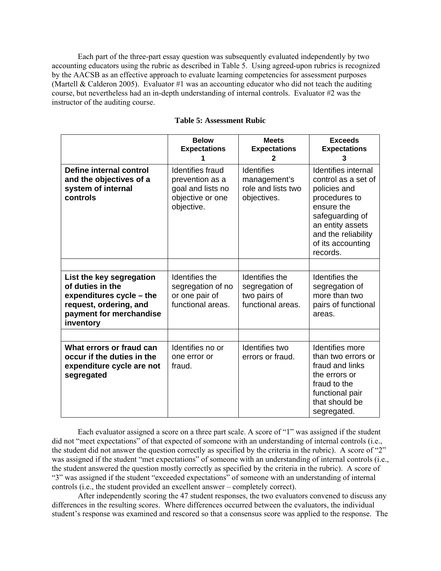Each part of the three-part essay question was subsequently evaluated independently by two accounting educators using the rubric as described in Table 5. Using agreed-upon rubrics is recognized by the AACSB as an effective approach to evaluate learning competencies for assessment purposes (Martell & Calderon 2005). Evaluator #1 was an accounting educator who did not teach the auditing course, but nevertheless had an in-depth understanding of internal controls. Evaluator #2 was the instructor of the auditing course.

|                                                                                                                                            | <b>Below</b><br><b>Expectations</b>                                                               | <b>Meets</b><br><b>Expectations</b><br>2                               | <b>Exceeds</b><br><b>Expectations</b><br>3                                                                                                                                                      |  |
|--------------------------------------------------------------------------------------------------------------------------------------------|---------------------------------------------------------------------------------------------------|------------------------------------------------------------------------|-------------------------------------------------------------------------------------------------------------------------------------------------------------------------------------------------|--|
| Define internal control<br>and the objectives of a<br>system of internal<br>controls                                                       | <b>Identifies fraud</b><br>prevention as a<br>goal and lists no<br>objective or one<br>objective. | <b>Identifies</b><br>management's<br>role and lists two<br>objectives. | <b>Identifies internal</b><br>control as a set of<br>policies and<br>procedures to<br>ensure the<br>safeguarding of<br>an entity assets<br>and the reliability<br>of its accounting<br>records. |  |
|                                                                                                                                            |                                                                                                   |                                                                        |                                                                                                                                                                                                 |  |
| List the key segregation<br>of duties in the<br>expenditures cycle - the<br>request, ordering, and<br>payment for merchandise<br>inventory | Identifies the<br>segregation of no<br>or one pair of<br>functional areas.                        | Identifies the<br>segregation of<br>two pairs of<br>functional areas.  | Identifies the<br>segregation of<br>more than two<br>pairs of functional<br>areas.                                                                                                              |  |
|                                                                                                                                            |                                                                                                   |                                                                        |                                                                                                                                                                                                 |  |
| What errors or fraud can<br>occur if the duties in the<br>expenditure cycle are not<br>segregated                                          | Identifies no or<br>one error or<br>fraud.                                                        | Identifies two<br>errors or fraud.                                     | Identifies more<br>than two errors or<br>fraud and links<br>the errors or<br>fraud to the<br>functional pair<br>that should be<br>segregated.                                                   |  |

#### **Table 5: Assessment Rubic**

Each evaluator assigned a score on a three part scale. A score of "1" was assigned if the student did not "meet expectations" of that expected of someone with an understanding of internal controls (i.e., the student did not answer the question correctly as specified by the criteria in the rubric). A score of "2" was assigned if the student "met expectations" of someone with an understanding of internal controls (i.e., the student answered the question mostly correctly as specified by the criteria in the rubric). A score of "3" was assigned if the student "exceeded expectations" of someone with an understanding of internal controls (i.e., the student provided an excellent answer – completely correct).

After independently scoring the 47 student responses, the two evaluators convened to discuss any differences in the resulting scores. Where differences occurred between the evaluators, the individual student's response was examined and rescored so that a consensus score was applied to the response. The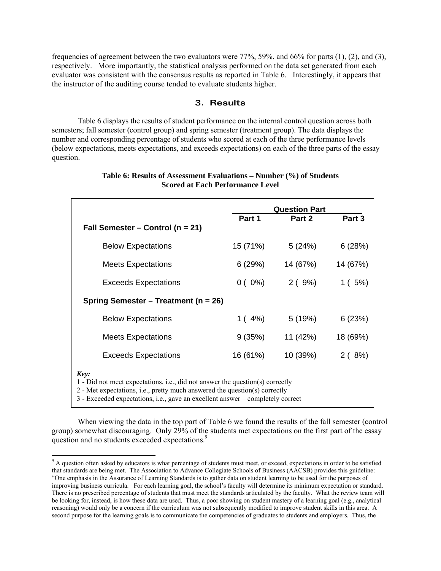frequencies of agreement between the two evaluators were 77%, 59%, and 66% for parts (1), (2), and (3), respectively. More importantly, the statistical analysis performed on the data set generated from each evaluator was consistent with the consensus results as reported in Table 6. Interestingly, it appears that the instructor of the auditing course tended to evaluate students higher.

## **3. Results**

Table 6 displays the results of student performance on the internal control question across both semesters; fall semester (control group) and spring semester (treatment group). The data displays the number and corresponding percentage of students who scored at each of the three performance levels (below expectations, meets expectations, and exceeds expectations) on each of the three parts of the essay question.

|                                                                                                                                                                                                                                                       | <b>Question Part</b> |          |          |  |  |  |  |
|-------------------------------------------------------------------------------------------------------------------------------------------------------------------------------------------------------------------------------------------------------|----------------------|----------|----------|--|--|--|--|
| Fall Semester – Control ( $n = 21$ )                                                                                                                                                                                                                  | Part 1               | Part 2   | Part 3   |  |  |  |  |
|                                                                                                                                                                                                                                                       |                      |          |          |  |  |  |  |
| <b>Below Expectations</b>                                                                                                                                                                                                                             | 15 (71%)             | 5(24%)   | 6(28%)   |  |  |  |  |
| <b>Meets Expectations</b>                                                                                                                                                                                                                             | 6(29%)               | 14 (67%) | 14 (67%) |  |  |  |  |
| <b>Exceeds Expectations</b>                                                                                                                                                                                                                           | $0(0\%)$             | 2(9%)    | 1(5%)    |  |  |  |  |
| Spring Semester – Treatment (n = 26)                                                                                                                                                                                                                  |                      |          |          |  |  |  |  |
| <b>Below Expectations</b>                                                                                                                                                                                                                             | $1(4\%)$             | 5(19%)   | 6(23%)   |  |  |  |  |
| <b>Meets Expectations</b>                                                                                                                                                                                                                             | 9(35%)               | 11 (42%) | 18 (69%) |  |  |  |  |
| <b>Exceeds Expectations</b>                                                                                                                                                                                                                           | 16 (61%)             | 10 (39%) | 2(8%)    |  |  |  |  |
| Key:<br>1 - Did not meet expectations, i.e., did not answer the question(s) correctly<br>2 - Met expectations, i.e., pretty much answered the question(s) correctly<br>3 - Exceeded expectations, i.e., gave an excellent answer – completely correct |                      |          |          |  |  |  |  |

#### **Table 6: Results of Assessment Evaluations – Number (%) of Students Scored at Each Performance Level**

When viewing the data in the top part of Table 6 we found the results of the fall semester (control group) somewhat discouraging. Only 29% of the students met expectations on the first part of the essay question and no students exceeded expectations.<sup>9</sup>

 $\overline{a}$ 

<sup>&</sup>lt;sup>9</sup> A question often asked by educators is what percentage of students must meet, or exceed, expectations in order to be satisfied that standards are being met. The Association to Advance Collegiate Schools of Business (AACSB) provides this guideline: "One emphasis in the Assurance of Learning Standards is to gather data on student learning to be used for the purposes of improving business curricula. For each learning goal, the school's faculty will determine its minimum expectation or standard. There is no prescribed percentage of students that must meet the standards articulated by the faculty. What the review team will be looking for, instead, is how these data are used. Thus, a poor showing on student mastery of a learning goal (e.g., analytical reasoning) would only be a concern if the curriculum was not subsequently modified to improve student skills in this area. A second purpose for the learning goals is to communicate the competencies of graduates to students and employers. Thus, the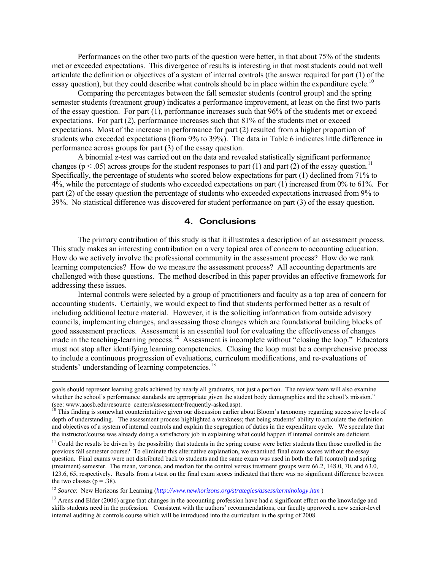Performances on the other two parts of the question were better, in that about 75% of the students met or exceeded expectations. This divergence of results is interesting in that most students could not well articulate the definition or objectives of a system of internal controls (the answer required for part (1) of the essay question), but they could describe what controls should be in place within the expenditure cycle.<sup>10</sup>

Comparing the percentages between the fall semester students (control group) and the spring semester students (treatment group) indicates a performance improvement, at least on the first two parts of the essay question. For part (1), performance increases such that 96% of the students met or exceed expectations. For part (2), performance increases such that 81% of the students met or exceed expectations. Most of the increase in performance for part (2) resulted from a higher proportion of students who exceeded expectations (from 9% to 39%). The data in Table 6 indicates little difference in performance across groups for part (3) of the essay question.

A binomial z-test was carried out on the data and revealed statistically significant performance changes ( $p < .05$ ) across groups for the student responses to part (1) and part (2) of the essay question.<sup>11</sup> Specifically, the percentage of students who scored below expectations for part (1) declined from 71% to 4%, while the percentage of students who exceeded expectations on part (1) increased from 0% to 61%. For part (2) of the essay question the percentage of students who exceeded expectations increased from 9% to 39%. No statistical difference was discovered for student performance on part (3) of the essay question.

#### **4. Conclusions**

 The primary contribution of this study is that it illustrates a description of an assessment process. This study makes an interesting contribution on a very topical area of concern to accounting education. How do we actively involve the professional community in the assessment process? How do we rank learning competencies? How do we measure the assessment process? All accounting departments are challenged with these questions. The method described in this paper provides an effective framework for addressing these issues.

Internal controls were selected by a group of practitioners and faculty as a top area of concern for accounting students. Certainly, we would expect to find that students performed better as a result of including additional lecture material. However, it is the soliciting information from outside advisory councils, implementing changes, and assessing those changes which are foundational building blocks of good assessment practices. Assessment is an essential tool for evaluating the effectiveness of changes made in the teaching-learning process.12 Assessment is incomplete without "closing the loop." Educators must not stop after identifying learning competencies. Closing the loop must be a comprehensive process to include a continuous progression of evaluations, curriculum modifications, and re-evaluations of students' understanding of learning competencies.<sup>13</sup>

goals should represent learning goals achieved by nearly all graduates, not just a portion. The review team will also examine whether the school's performance standards are appropriate given the student body demographics and the school's mission."<br>(see: www.aacsb.edu/resource\_centers/assessment/frequently-asked.asp).

This finding is somewhat counterintuitive given our discussion earlier about Bloom's taxonomy regarding successive levels of depth of understanding. The assessment process highlighted a weakness; that being students' ability to articulate the definition and objectives of a system of internal controls and explain the segregation of duties in the expenditure cycle. We speculate that the instructor/course was already doing a satisfactory job in explaining what could happen if internal controls are deficient.

 $<sup>11</sup>$  Could the results be driven by the possibility that students in the spring course were better students then those enrolled in the</sup> previous fall semester course? To eliminate this alternative explanation, we examined final exam scores without the essay question. Final exams were not distributed back to students and the same exam was used in both the fall (control) and spring (treatment) semester. The mean, variance, and median for the control versus treatment groups were 66.2, 148.0, 70, and 63.0, 123.6, 65, respectively. Results from a t-test on the final exam scores indicated that there was no significant difference between the two classes ( $p = .38$ ).

<sup>12</sup> *Source*: New Horizons for Learning (*http://www.newhorizons.org/strategies/assess/terminology.htm* )

<sup>&</sup>lt;sup>13</sup> Arens and Elder (2006) argue that changes in the accounting profession have had a significant effect on the knowledge and skills students need in the profession. Consistent with the authors' recommendations, our faculty approved a new senior-level internal auditing & controls course which will be introduced into the curriculum in the spring of 2008.